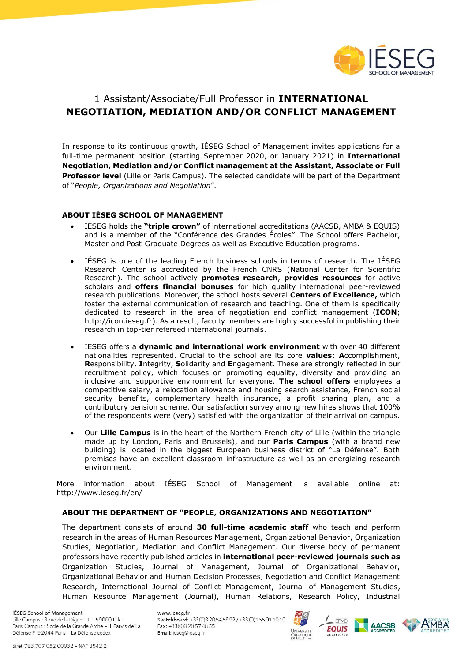

# 1 Assistant/Associate/Full Professor in **INTERNATIONAL NEGOTIATION, MEDIATION AND/OR CONFLICT MANAGEMENT**

In response to its continuous growth, IÉSEG School of Management invites applications for a full-time permanent position (starting September 2020, or January 2021) in **International Negotiation, Mediation and/or Conflict management at the Assistant, Associate or Full Professor level** (Lille or Paris Campus). The selected candidate will be part of the Department of "*People, Organizations and Negotiation*".

## **ABOUT IÉSEG SCHOOL OF MANAGEMENT**

- IÉSEG holds the **"triple crown"** of international accreditations (AACSB, AMBA & EQUIS) and is a member of the "Conférence des Grandes Écoles". The School offers Bachelor, Master and Post-Graduate Degrees as well as Executive Education programs.
- IÉSEG is one of the leading French business schools in terms of research. The IÉSEG Research Center is accredited by the French CNRS (National Center for Scientific Research). The school actively **promotes research**, **provides resources** for active scholars and **offers financial bonuses** for high quality international peer-reviewed research publications. Moreover, the school hosts several **Centers of Excellence,** which foster the external communication of research and teaching. One of them is specifically dedicated to research in the area of negotiation and conflict management (**ICON**; http://icon.ieseg.fr). As a result, faculty members are highly successful in publishing their research in top-tier refereed international journals.
- IÉSEG offers a **dynamic and international work environment** with over 40 different nationalities represented. Crucial to the school are its core **values**: **A**ccomplishment, **R**esponsibility, **I**ntegrity, **S**olidarity and **E**ngagement. These are strongly reflected in our recruitment policy, which focuses on promoting equality, diversity and providing an inclusive and supportive environment for everyone. **The school offers** employees a competitive salary, a relocation allowance and housing search assistance, French social security benefits, complementary health insurance, a profit sharing plan, and a contributory pension scheme. Our satisfaction survey among new hires shows that 100% of the respondents were (very) satisfied with the organization of their arrival on campus.
- Our **Lille Campus** is in the heart of the Northern French city of Lille (within the triangle made up by London, Paris and Brussels), and our **Paris Campus** (with a brand new building) is located in the biggest European business district of "La Défense". Both premises have an excellent classroom infrastructure as well as an energizing research environment.

More information about IÉSEG School of Management is available online at: <http://www.ieseg.fr/en/>

## **ABOUT THE DEPARTMENT OF "PEOPLE, ORGANIZATIONS AND NEGOTIATION"**

The department consists of around **30 full-time academic staff** who teach and perform research in the areas of Human Resources Management, Organizational Behavior, Organization Studies, Negotiation, Mediation and Conflict Management. Our diverse body of permanent professors have recently published articles in **international peer-reviewed journals such as** Organization Studies, Journal of Management, Journal of Organizational Behavior, Organizational Behavior and Human Decision Processes, Negotiation and Conflict Management Research, International Journal of Conflict Management, Journal of Management Studies, Human Resource Management (Journal), Human Relations, Research Policy, Industrial

IÉSEG School of Management

Lille Campus : 3 rue de la Digue - F - 59000 Lille Paris Campus : Socle de la Grande Arche - 1 Parvis de La Défense F-92044 Paris - La Défense cedex

www.ieseg.fr Switchboard: +33(0)3 20 54 58 92 / +33 (0)1 55 91 10 10 Fax: +33(0)3 20 57 48 55 Email: ieseg@ieseg.fr